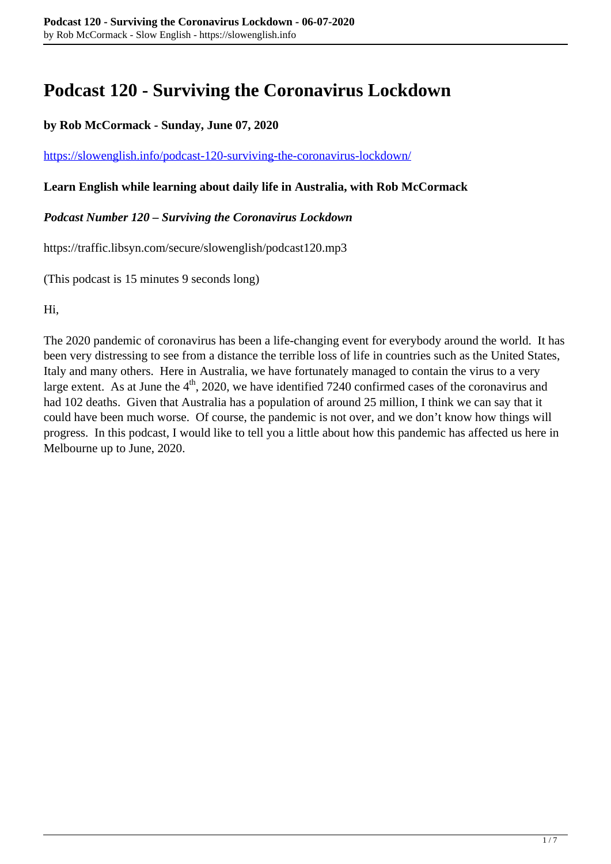## **Podcast 120 - Surviving the Coronavirus Lockdown**

### **by Rob McCormack - Sunday, June 07, 2020**

#### <https://slowenglish.info/podcast-120-surviving-the-coronavirus-lockdown/>

#### **Learn English while learning about daily life in Australia, with Rob McCormack**

#### *Podcast Number 120 – Surviving the Coronavirus Lockdown*

https://traffic.libsyn.com/secure/slowenglish/podcast120.mp3

(This podcast is 15 minutes 9 seconds long)

Hi,

The 2020 pandemic of coronavirus has been a life-changing event for everybody around the world. It has been very distressing to see from a distance the terrible loss of life in countries such as the United States, Italy and many others. Here in Australia, we have fortunately managed to contain the virus to a very large extent. As at June the  $4<sup>th</sup>$ , 2020, we have identified 7240 confirmed cases of the coronavirus and had 102 deaths. Given that Australia has a population of around 25 million, I think we can say that it could have been much worse. Of course, the pandemic is not over, and we don't know how things will progress. In this podcast, I would like to tell you a little about how this pandemic has affected us here in Melbourne up to June, 2020.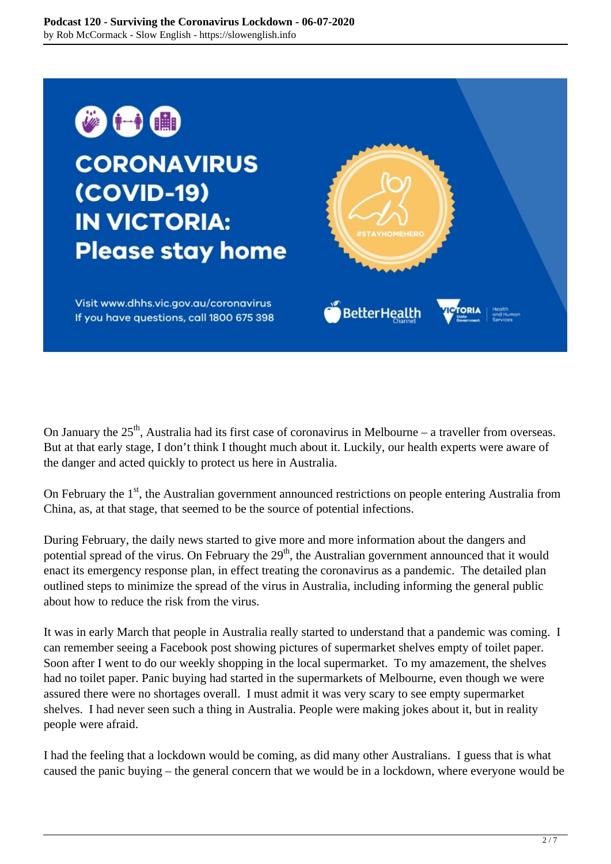

# **CORONAVIRUS (COVID-19) IN VICTORIA: Please stay home**

Visit www.dhhs.vic.gov.au/coronavirus If you have questions, call 1800 675 398

On January the  $25<sup>th</sup>$ , Australia had its first case of coronavirus in Melbourne – a traveller from overseas. But at that early stage, I don't think I thought much about it. Luckily, our health experts were aware of the danger and acted quickly to protect us here in Australia.

**BetterHealth** 

On February the 1<sup>st</sup>, the Australian government announced restrictions on people entering Australia from China, as, at that stage, that seemed to be the source of potential infections.

During February, the daily news started to give more and more information about the dangers and potential spread of the virus. On February the  $29<sup>th</sup>$ , the Australian government announced that it would enact its emergency response plan, in effect treating the coronavirus as a pandemic. The detailed plan outlined steps to minimize the spread of the virus in Australia, including informing the general public about how to reduce the risk from the virus.

It was in early March that people in Australia really started to understand that a pandemic was coming. I can remember seeing a Facebook post showing pictures of supermarket shelves empty of toilet paper. Soon after I went to do our weekly shopping in the local supermarket. To my amazement, the shelves had no toilet paper. Panic buying had started in the supermarkets of Melbourne, even though we were assured there were no shortages overall. I must admit it was very scary to see empty supermarket shelves. I had never seen such a thing in Australia. People were making jokes about it, but in reality people were afraid.

I had the feeling that a lockdown would be coming, as did many other Australians. I guess that is what caused the panic buying – the general concern that we would be in a lockdown, where everyone would be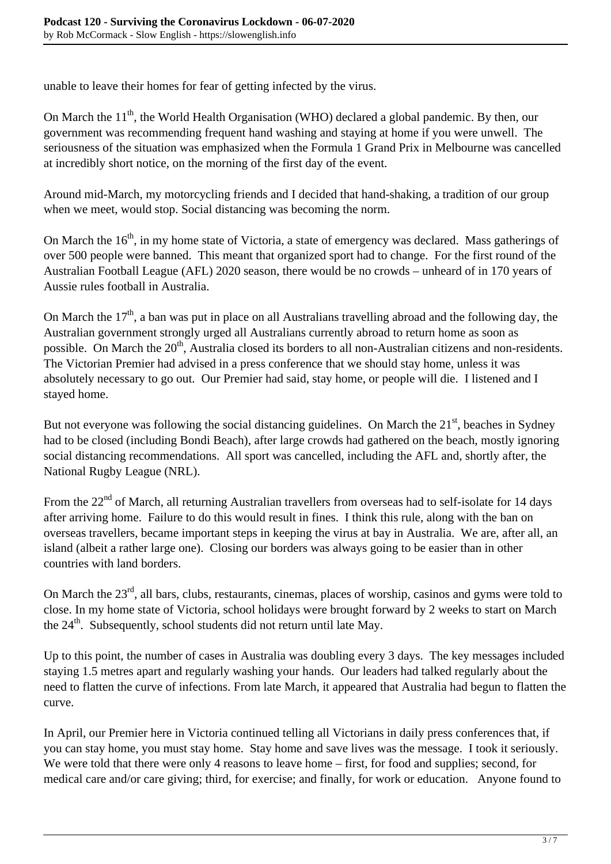unable to leave their homes for fear of getting infected by the virus.

On March the  $11<sup>th</sup>$ , the World Health Organisation (WHO) declared a global pandemic. By then, our government was recommending frequent hand washing and staying at home if you were unwell. The seriousness of the situation was emphasized when the Formula 1 Grand Prix in Melbourne was cancelled at incredibly short notice, on the morning of the first day of the event.

Around mid-March, my motorcycling friends and I decided that hand-shaking, a tradition of our group when we meet, would stop. Social distancing was becoming the norm.

On March the  $16<sup>th</sup>$ , in my home state of Victoria, a state of emergency was declared. Mass gatherings of over 500 people were banned. This meant that organized sport had to change. For the first round of the Australian Football League (AFL) 2020 season, there would be no crowds – unheard of in 170 years of Aussie rules football in Australia.

On March the 17<sup>th</sup>, a ban was put in place on all Australians travelling abroad and the following day, the Australian government strongly urged all Australians currently abroad to return home as soon as possible. On March the  $20<sup>th</sup>$ , Australia closed its borders to all non-Australian citizens and non-residents. The Victorian Premier had advised in a press conference that we should stay home, unless it was absolutely necessary to go out. Our Premier had said, stay home, or people will die. I listened and I stayed home.

But not everyone was following the social distancing guidelines. On March the  $21<sup>st</sup>$ , beaches in Sydney had to be closed (including Bondi Beach), after large crowds had gathered on the beach, mostly ignoring social distancing recommendations. All sport was cancelled, including the AFL and, shortly after, the National Rugby League (NRL).

From the 22<sup>nd</sup> of March, all returning Australian travellers from overseas had to self-isolate for 14 days after arriving home. Failure to do this would result in fines. I think this rule, along with the ban on overseas travellers, became important steps in keeping the virus at bay in Australia. We are, after all, an island (albeit a rather large one). Closing our borders was always going to be easier than in other countries with land borders.

On March the 23<sup>rd</sup>, all bars, clubs, restaurants, cinemas, places of worship, casinos and gyms were told to close. In my home state of Victoria, school holidays were brought forward by 2 weeks to start on March the 24<sup>th</sup>. Subsequently, school students did not return until late May.

Up to this point, the number of cases in Australia was doubling every 3 days. The key messages included staying 1.5 metres apart and regularly washing your hands. Our leaders had talked regularly about the need to flatten the curve of infections. From late March, it appeared that Australia had begun to flatten the curve.

In April, our Premier here in Victoria continued telling all Victorians in daily press conferences that, if you can stay home, you must stay home. Stay home and save lives was the message. I took it seriously. We were told that there were only 4 reasons to leave home – first, for food and supplies; second, for medical care and/or care giving; third, for exercise; and finally, for work or education. Anyone found to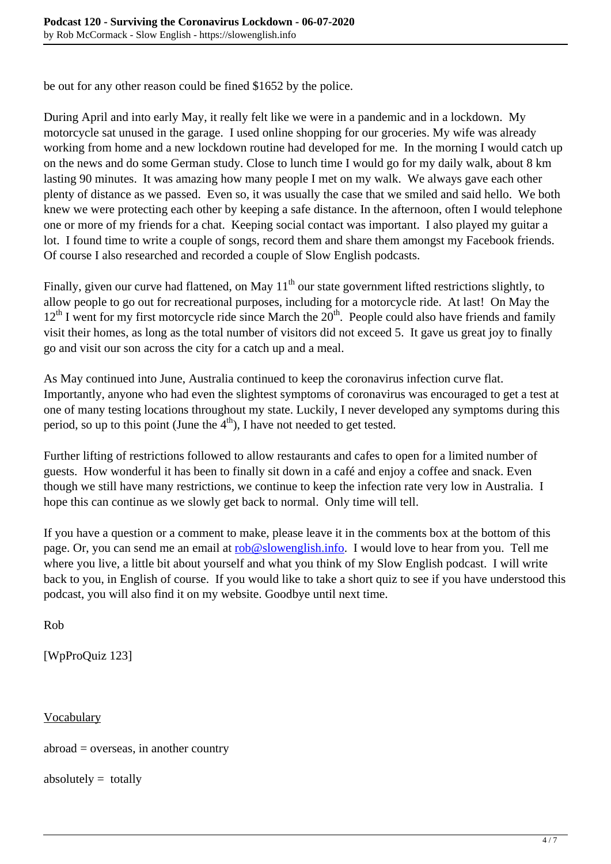be out for any other reason could be fined \$1652 by the police.

During April and into early May, it really felt like we were in a pandemic and in a lockdown. My motorcycle sat unused in the garage. I used online shopping for our groceries. My wife was already working from home and a new lockdown routine had developed for me. In the morning I would catch up on the news and do some German study. Close to lunch time I would go for my daily walk, about 8 km lasting 90 minutes. It was amazing how many people I met on my walk. We always gave each other plenty of distance as we passed. Even so, it was usually the case that we smiled and said hello. We both knew we were protecting each other by keeping a safe distance. In the afternoon, often I would telephone one or more of my friends for a chat. Keeping social contact was important. I also played my guitar a lot. I found time to write a couple of songs, record them and share them amongst my Facebook friends. Of course I also researched and recorded a couple of Slow English podcasts.

Finally, given our curve had flattened, on May  $11<sup>th</sup>$  our state government lifted restrictions slightly, to allow people to go out for recreational purposes, including for a motorcycle ride. At last! On May the  $12<sup>th</sup>$  I went for my first motorcycle ride since March the  $20<sup>th</sup>$ . People could also have friends and family visit their homes, as long as the total number of visitors did not exceed 5. It gave us great joy to finally go and visit our son across the city for a catch up and a meal.

As May continued into June, Australia continued to keep the coronavirus infection curve flat. Importantly, anyone who had even the slightest symptoms of coronavirus was encouraged to get a test at one of many testing locations throughout my state. Luckily, I never developed any symptoms during this period, so up to this point (June the  $4<sup>th</sup>$ ), I have not needed to get tested.

Further lifting of restrictions followed to allow restaurants and cafes to open for a limited number of guests. How wonderful it has been to finally sit down in a café and enjoy a coffee and snack. Even though we still have many restrictions, we continue to keep the infection rate very low in Australia. I hope this can continue as we slowly get back to normal. Only time will tell.

If you have a question or a comment to make, please leave it in the comments box at the bottom of this page. Or, you can send me an email at [rob@slowenglish.info.](mailto:rob@slowenglish.info) I would love to hear from you. Tell me where you live, a little bit about yourself and what you think of my Slow English podcast. I will write back to you, in English of course. If you would like to take a short quiz to see if you have understood this podcast, you will also find it on my website. Goodbye until next time.

Rob

[WpProQuiz 123]

Vocabulary

 $abroad = overseas$ , in another country

absolutely  $=$  totally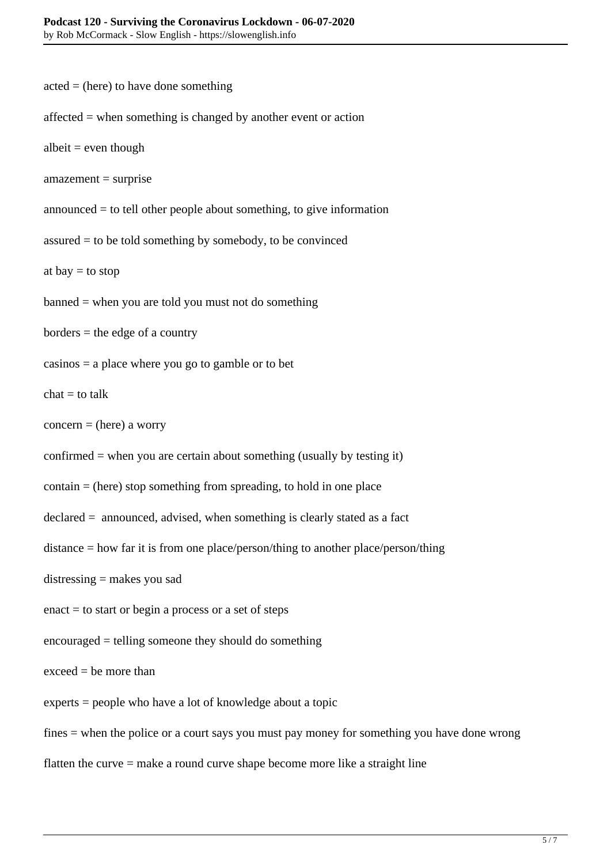- $\text{acted} = (\text{here})$  to have done something affected = when something is changed by another event or action albeit  $=$  even though amazement = surprise announced  $=$  to tell other people about something, to give information assured = to be told something by somebody, to be convinced at  $bay = to stop$ banned = when you are told you must not do something  $borders = the edge of a country$ casinos = a place where you go to gamble or to bet  $chat = to talk$  $concern = (here) a worry$ confirmed  $=$  when you are certain about something (usually by testing it)  $\text{contain} = (\text{here})$  stop something from spreading, to hold in one place declared = announced, advised, when something is clearly stated as a fact distance = how far it is from one place/person/thing to another place/person/thing distressing = makes you sad  $enact = to start or begin a process or a set of steps$ encouraged = telling someone they should do something  $exceed =$  be more than experts = people who have a lot of knowledge about a topic
	- fines = when the police or a court says you must pay money for something you have done wrong

flatten the curve = make a round curve shape become more like a straight line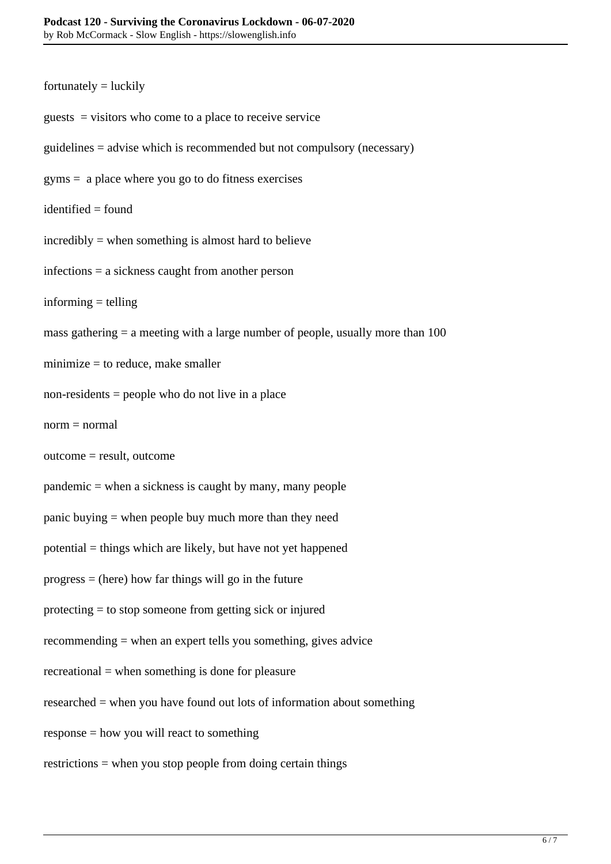$fortunately = lucky$ guests = visitors who come to a place to receive service guidelines = advise which is recommended but not compulsory (necessary) gyms = a place where you go to do fitness exercises  $identified = found$  $incredibly = when something is almost hard to believe$ infections = a sickness caught from another person  $informing = telling$ mass gathering  $=$  a meeting with a large number of people, usually more than 100  $minimize = to reduce, make smaller$ non-residents = people who do not live in a place  $norm = normal$ outcome = result, outcome pandemic = when a sickness is caught by many, many people panic buying = when people buy much more than they need potential = things which are likely, but have not yet happened  $progress = (here) how far things will go in the future)$ protecting = to stop someone from getting sick or injured recommending = when an expert tells you something, gives advice recreational = when something is done for pleasure researched = when you have found out lots of information about something response = how you will react to something restrictions = when you stop people from doing certain things